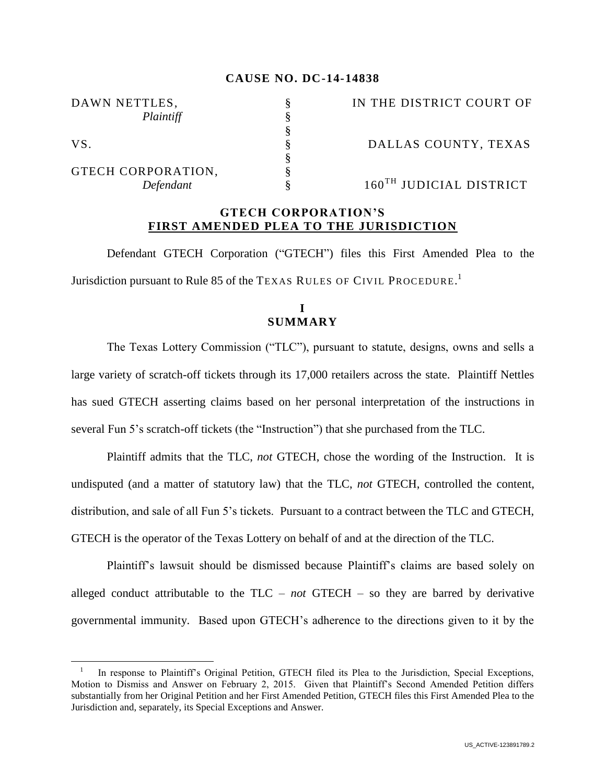### **CAUSE NO. DC-14-14838**

§

§

DAWN NETTLES,  $\S$  IN THE DISTRICT COURT OF *Plaintiff* § VS. S S DALLAS COUNTY, TEXAS GTECH CORPORATION,

 $\overline{a}$ 

*Defendant*  $\frac{8}{8}$  160<sup>TH</sup> JUDICIAL DISTRICT

### **GTECH CORPORATION'S FIRST AMENDED PLEA TO THE JURISDICTION**

Defendant GTECH Corporation ("GTECH") files this First Amended Plea to the Jurisdiction pursuant to Rule 85 of the TEXAS RULES OF CIVIL PROCEDURE.<sup>1</sup>

## **I SUMMARY**

The Texas Lottery Commission ("TLC"), pursuant to statute, designs, owns and sells a large variety of scratch-off tickets through its 17,000 retailers across the state. Plaintiff Nettles has sued GTECH asserting claims based on her personal interpretation of the instructions in several Fun 5's scratch-off tickets (the "Instruction") that she purchased from the TLC.

Plaintiff admits that the TLC, *not* GTECH, chose the wording of the Instruction. It is undisputed (and a matter of statutory law) that the TLC, *not* GTECH, controlled the content, distribution, and sale of all Fun 5's tickets. Pursuant to a contract between the TLC and GTECH, GTECH is the operator of the Texas Lottery on behalf of and at the direction of the TLC.

Plaintiff's lawsuit should be dismissed because Plaintiff's claims are based solely on alleged conduct attributable to the TLC – *not* GTECH – so they are barred by derivative governmental immunity. Based upon GTECH's adherence to the directions given to it by the

<sup>1</sup> In response to Plaintiff's Original Petition, GTECH filed its Plea to the Jurisdiction, Special Exceptions, Motion to Dismiss and Answer on February 2, 2015. Given that Plaintiff's Second Amended Petition differs substantially from her Original Petition and her First Amended Petition, GTECH files this First Amended Plea to the Jurisdiction and, separately, its Special Exceptions and Answer.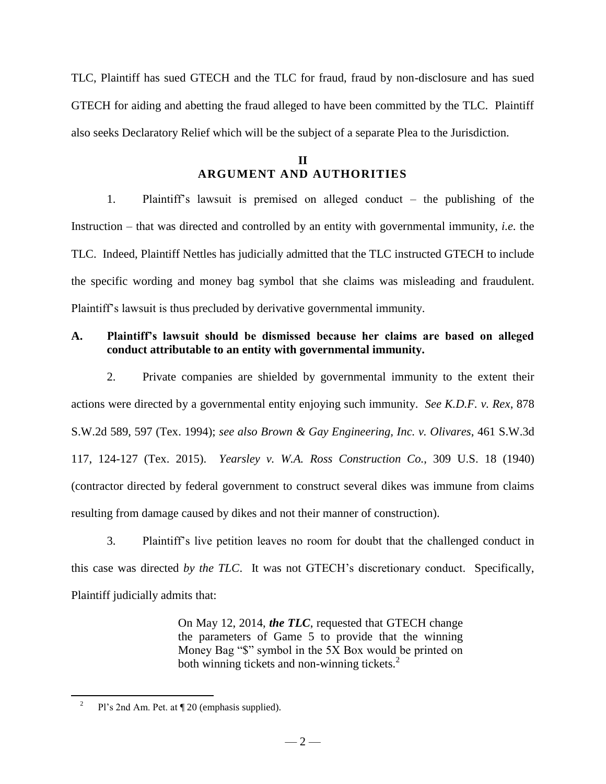TLC, Plaintiff has sued GTECH and the TLC for fraud, fraud by non-disclosure and has sued GTECH for aiding and abetting the fraud alleged to have been committed by the TLC. Plaintiff also seeks Declaratory Relief which will be the subject of a separate Plea to the Jurisdiction.

# **II ARGUMENT AND AUTHORITIES**

1. Plaintiff's lawsuit is premised on alleged conduct – the publishing of the Instruction – that was directed and controlled by an entity with governmental immunity, *i.e.* the TLC. Indeed, Plaintiff Nettles has judicially admitted that the TLC instructed GTECH to include the specific wording and money bag symbol that she claims was misleading and fraudulent. Plaintiff's lawsuit is thus precluded by derivative governmental immunity.

## **A. Plaintiff's lawsuit should be dismissed because her claims are based on alleged conduct attributable to an entity with governmental immunity.**

2. Private companies are shielded by governmental immunity to the extent their actions were directed by a governmental entity enjoying such immunity.*See K.D.F. v. Rex*, 878 S.W.2d 589, 597 (Tex. 1994); *see also Brown & Gay Engineering, Inc. v. Olivares*, 461 S.W.3d 117, 124-127 (Tex. 2015). *Yearsley v. W.A. Ross Construction Co.*, 309 U.S. 18 (1940) (contractor directed by federal government to construct several dikes was immune from claims resulting from damage caused by dikes and not their manner of construction).

3. Plaintiff's live petition leaves no room for doubt that the challenged conduct in this case was directed *by the TLC*. It was not GTECH's discretionary conduct. Specifically, Plaintiff judicially admits that:

> On May 12, 2014, *the TLC*, requested that GTECH change the parameters of Game 5 to provide that the winning Money Bag "\$" symbol in the 5X Box would be printed on both winning tickets and non-winning tickets. $2$

 $\overline{a}$ 

<sup>2</sup> Pl's 2nd Am. Pet. at ¶ 20 (emphasis supplied).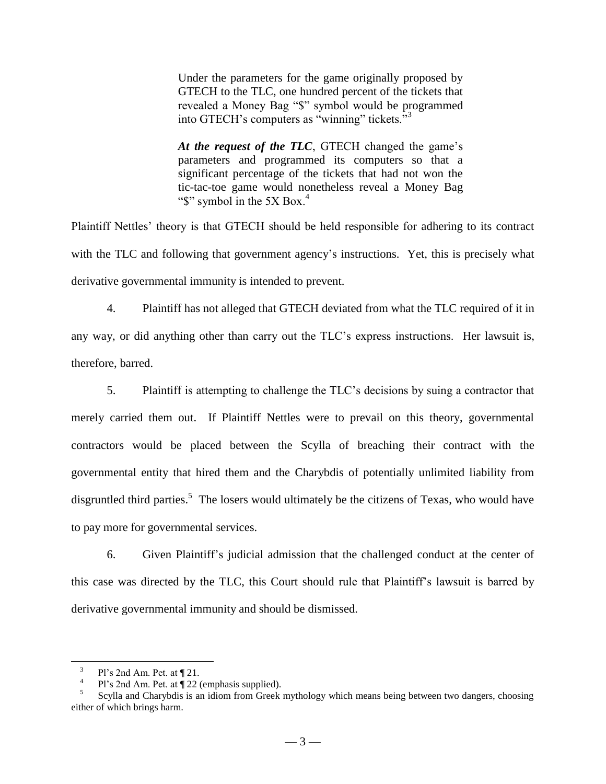Under the parameters for the game originally proposed by GTECH to the TLC, one hundred percent of the tickets that revealed a Money Bag "\$" symbol would be programmed into GTECH's computers as "winning" tickets."<sup>3</sup>

*At the request of the TLC*, GTECH changed the game's parameters and programmed its computers so that a significant percentage of the tickets that had not won the tic-tac-toe game would nonetheless reveal a Money Bag " $\mathcal{S}$ " symbol in the 5X Box.<sup>4</sup>

Plaintiff Nettles' theory is that GTECH should be held responsible for adhering to its contract with the TLC and following that government agency's instructions. Yet, this is precisely what derivative governmental immunity is intended to prevent.

4. Plaintiff has not alleged that GTECH deviated from what the TLC required of it in any way, or did anything other than carry out the TLC's express instructions. Her lawsuit is, therefore, barred.

5. Plaintiff is attempting to challenge the TLC's decisions by suing a contractor that merely carried them out. If Plaintiff Nettles were to prevail on this theory, governmental contractors would be placed between the Scylla of breaching their contract with the governmental entity that hired them and the Charybdis of potentially unlimited liability from disgruntled third parties.<sup>5</sup> The losers would ultimately be the citizens of Texas, who would have to pay more for governmental services.

6. Given Plaintiff's judicial admission that the challenged conduct at the center of this case was directed by the TLC, this Court should rule that Plaintiff's lawsuit is barred by derivative governmental immunity and should be dismissed.

 $\overline{a}$ 

<sup>3</sup> Pl's 2nd Am. Pet. at ¶ 21.

<sup>4</sup> Pl's 2nd Am. Pet. at ¶ 22 (emphasis supplied).

<sup>5</sup> Scylla and Charybdis is an idiom from Greek mythology which means being between two dangers, choosing either of which brings harm.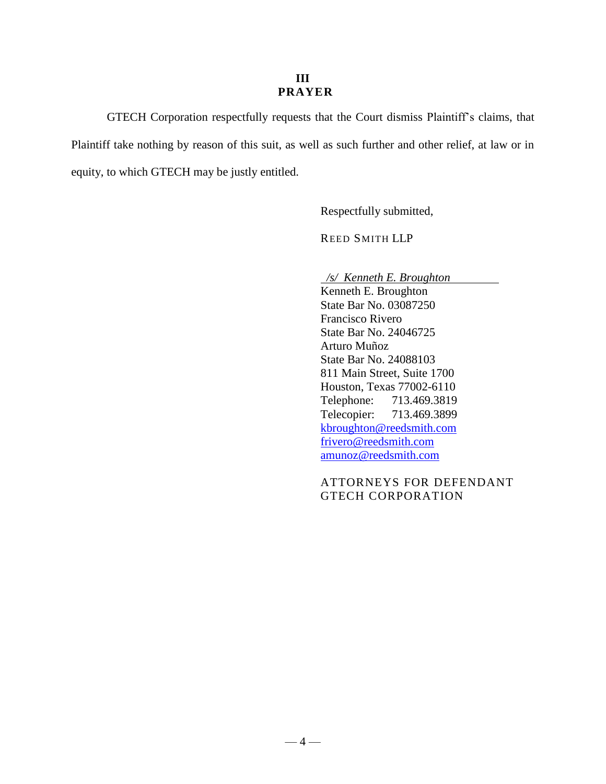### **III PRAYER**

GTECH Corporation respectfully requests that the Court dismiss Plaintiff's claims, that Plaintiff take nothing by reason of this suit, as well as such further and other relief, at law or in equity, to which GTECH may be justly entitled.

Respectfully submitted,

REED SMITH LLP

 */s/ Kenneth E. Broughton*

Kenneth E. Broughton State Bar No. 03087250 Francisco Rivero State Bar No. 24046725 Arturo Muñoz State Bar No. 24088103 811 Main Street, Suite 1700 Houston, Texas 77002-6110 Telephone: 713.469.3819 Telecopier: 713.469.3899 [kbroughton@reedsmith.com](mailto:kbroughton@reedsmith.com) [frivero@reedsmith.com](mailto:frivero@reedsmith.com) [amunoz@reedsmith.com](mailto:amunoz@reedsmith.com)

## ATTORNEYS FOR DEFENDANT GTECH CORPORATION